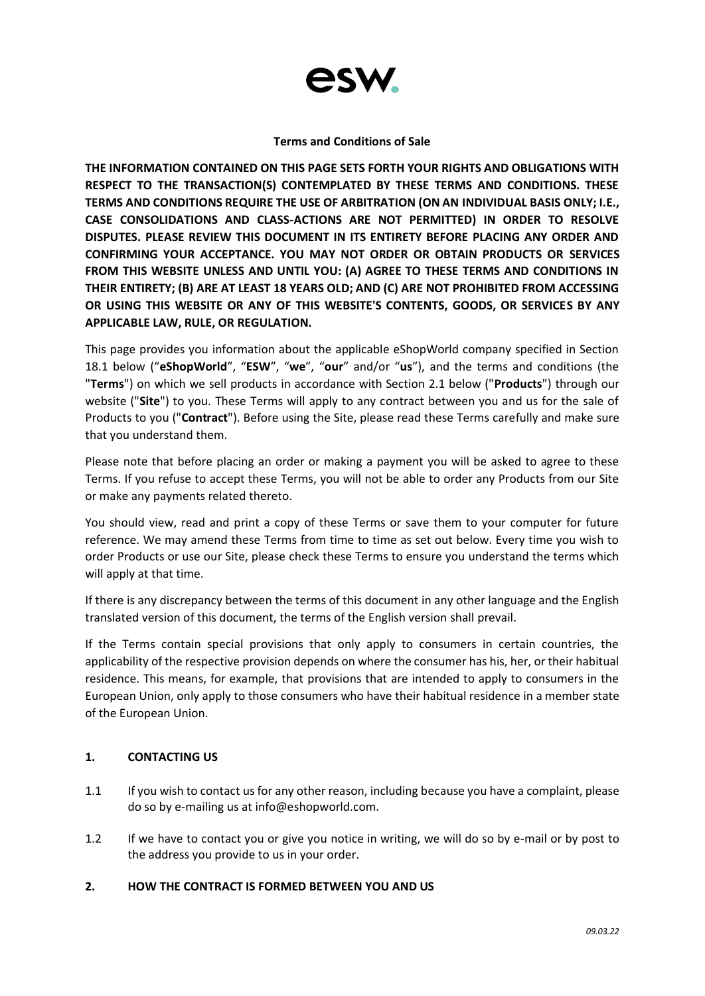

### **Terms and Conditions of Sale**

**THE INFORMATION CONTAINED ON THIS PAGE SETS FORTH YOUR RIGHTS AND OBLIGATIONS WITH RESPECT TO THE TRANSACTION(S) CONTEMPLATED BY THESE TERMS AND CONDITIONS. THESE TERMS AND CONDITIONS REQUIRE THE USE OF ARBITRATION (ON AN INDIVIDUAL BASIS ONLY; I.E., CASE CONSOLIDATIONS AND CLASS-ACTIONS ARE NOT PERMITTED) IN ORDER TO RESOLVE DISPUTES. PLEASE REVIEW THIS DOCUMENT IN ITS ENTIRETY BEFORE PLACING ANY ORDER AND CONFIRMING YOUR ACCEPTANCE. YOU MAY NOT ORDER OR OBTAIN PRODUCTS OR SERVICES FROM THIS WEBSITE UNLESS AND UNTIL YOU: (A) AGREE TO THESE TERMS AND CONDITIONS IN THEIR ENTIRETY; (B) ARE AT LEAST 18 YEARS OLD; AND (C) ARE NOT PROHIBITED FROM ACCESSING OR USING THIS WEBSITE OR ANY OF THIS WEBSITE'S CONTENTS, GOODS, OR SERVICES BY ANY APPLICABLE LAW, RULE, OR REGULATION.**

This page provides you information about the applicable eShopWorld company specified in Section 18.1 below ("**eShopWorld**", "**ESW**", "**we**", "**our**" and/or "**us**"), and the terms and conditions (the "**Terms**") on which we sell products in accordance with Section 2.1 below ("**Products**") through our website ("**Site**") to you. These Terms will apply to any contract between you and us for the sale of Products to you ("**Contract**"). Before using the Site, please read these Terms carefully and make sure that you understand them.

Please note that before placing an order or making a payment you will be asked to agree to these Terms. If you refuse to accept these Terms, you will not be able to order any Products from our Site or make any payments related thereto.

You should view, read and print a copy of these Terms or save them to your computer for future reference. We may amend these Terms from time to time as set out below. Every time you wish to order Products or use our Site, please check these Terms to ensure you understand the terms which will apply at that time.

If there is any discrepancy between the terms of this document in any other language and the English translated version of this document, the terms of the English version shall prevail.

If the Terms contain special provisions that only apply to consumers in certain countries, the applicability of the respective provision depends on where the consumer has his, her, or their habitual residence. This means, for example, that provisions that are intended to apply to consumers in the European Union, only apply to those consumers who have their habitual residence in a member state of the European Union.

# **1. CONTACTING US**

- 1.1 If you wish to contact us for any other reason, including because you have a complaint, please do so by e-mailing us at [info@eshopworld.com.](mailto:info@eshopworld.com)
- 1.2 If we have to contact you or give you notice in writing, we will do so by e-mail or by post to the address you provide to us in your order.

# **2. HOW THE CONTRACT IS FORMED BETWEEN YOU AND US**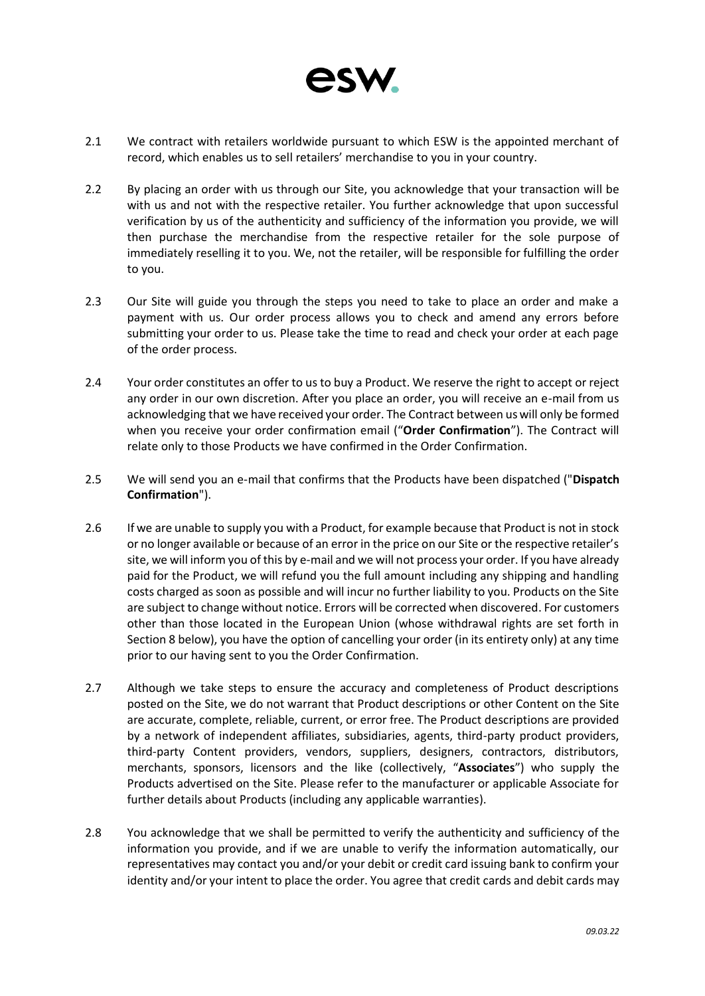

- 2.1 We contract with retailers worldwide pursuant to which ESW is the appointed merchant of record, which enables us to sell retailers' merchandise to you in your country.
- 2.2 By placing an order with us through our Site, you acknowledge that your transaction will be with us and not with the respective retailer. You further acknowledge that upon successful verification by us of the authenticity and sufficiency of the information you provide, we will then purchase the merchandise from the respective retailer for the sole purpose of immediately reselling it to you. We, not the retailer, will be responsible for fulfilling the order to you.
- 2.3 Our Site will guide you through the steps you need to take to place an order and make a payment with us. Our order process allows you to check and amend any errors before submitting your order to us. Please take the time to read and check your order at each page of the order process.
- 2.4 Your order constitutes an offer to us to buy a Product. We reserve the right to accept or reject any order in our own discretion. After you place an order, you will receive an e-mail from us acknowledging that we have received your order. The Contract between us will only be formed when you receive your order confirmation email ("**Order Confirmation**"). The Contract will relate only to those Products we have confirmed in the Order Confirmation.
- 2.5 We will send you an e-mail that confirms that the Products have been dispatched ("**Dispatch Confirmation**").
- 2.6 If we are unable to supply you with a Product, for example because that Product is not in stock or no longer available or because of an error in the price on our Site or the respective retailer's site, we will inform you of this by e-mail and we will not process your order. If you have already paid for the Product, we will refund you the full amount including any shipping and handling costs charged as soon as possible and will incur no further liability to you. Products on the Site are subject to change without notice. Errors will be corrected when discovered. For customers other than those located in the European Union (whose withdrawal rights are set forth in Section 8 below), you have the option of cancelling your order (in its entirety only) at any time prior to our having sent to you the Order Confirmation.
- 2.7 Although we take steps to ensure the accuracy and completeness of Product descriptions posted on the Site, we do not warrant that Product descriptions or other Content on the Site are accurate, complete, reliable, current, or error free. The Product descriptions are provided by a network of independent affiliates, subsidiaries, agents, third-party product providers, third-party Content providers, vendors, suppliers, designers, contractors, distributors, merchants, sponsors, licensors and the like (collectively, "**Associates**") who supply the Products advertised on the Site. Please refer to the manufacturer or applicable Associate for further details about Products (including any applicable warranties).
- 2.8 You acknowledge that we shall be permitted to verify the authenticity and sufficiency of the information you provide, and if we are unable to verify the information automatically, our representatives may contact you and/or your debit or credit card issuing bank to confirm your identity and/or your intent to place the order. You agree that credit cards and debit cards may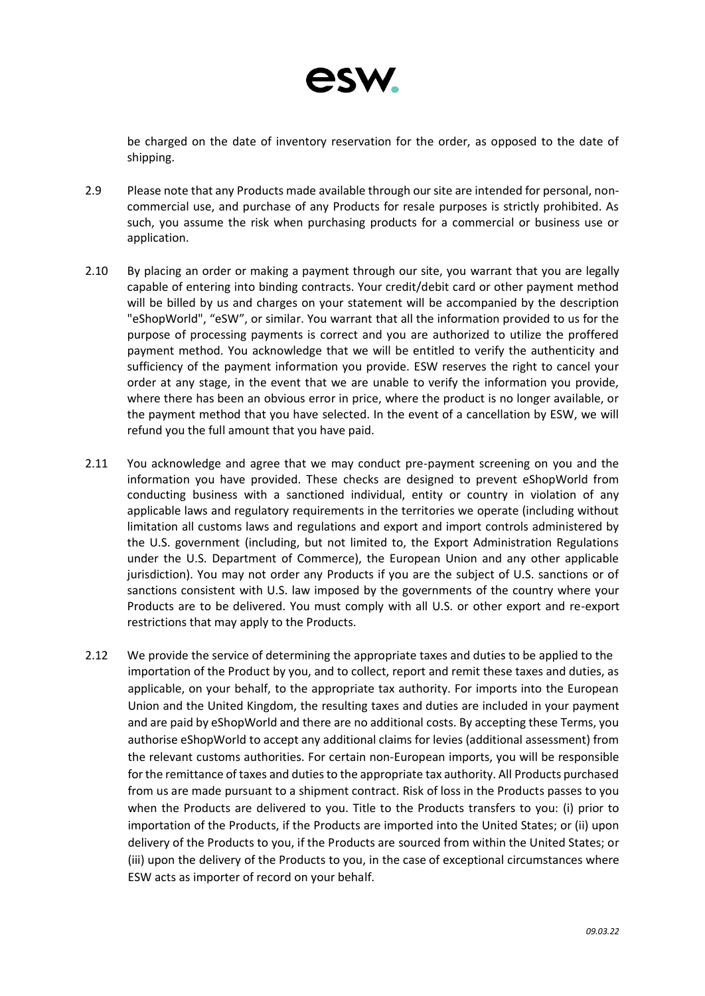

be charged on the date of inventory reservation for the order, as opposed to the date of shipping.

- 2.9 Please note that any Products made available through our site are intended for personal, noncommercial use, and purchase of any Products for resale purposes is strictly prohibited. As such, you assume the risk when purchasing products for a commercial or business use or application.
- 2.10 By placing an order or making a payment through our site, you warrant that you are legally capable of entering into binding contracts. Your credit/debit card or other payment method will be billed by us and charges on your statement will be accompanied by the description "eShopWorld", "eSW", or similar. You warrant that all the information provided to us for the purpose of processing payments is correct and you are authorized to utilize the proffered payment method. You acknowledge that we will be entitled to verify the authenticity and sufficiency of the payment information you provide. ESW reserves the right to cancel your order at any stage, in the event that we are unable to verify the information you provide, where there has been an obvious error in price, where the product is no longer available, or the payment method that you have selected. In the event of a cancellation by ESW, we will refund you the full amount that you have paid.
- 2.11 You acknowledge and agree that we may conduct pre-payment screening on you and the information you have provided. These checks are designed to prevent eShopWorld from conducting business with a sanctioned individual, entity or country in violation of any applicable laws and regulatory requirements in the territories we operate (including without limitation all customs laws and regulations and export and import controls administered by the U.S. government (including, but not limited to, the Export Administration Regulations under the U.S. Department of Commerce), the European Union and any other applicable jurisdiction). You may not order any Products if you are the subject of U.S. sanctions or of sanctions consistent with U.S. law imposed by the governments of the country where your Products are to be delivered. You must comply with all U.S. or other export and re-export restrictions that may apply to the Products.
- 2.12 We provide the service of determining the appropriate taxes and duties to be applied to the importation of the Product by you, and to collect, report and remit these taxes and duties, as applicable, on your behalf, to the appropriate tax authority. For imports into the European Union and the United Kingdom, the resulting taxes and duties are included in your payment and are paid by eShopWorld and there are no additional costs. By accepting these Terms, you authorise eShopWorld to accept any additional claims for levies (additional assessment) from the relevant customs authorities. For certain non-European imports, you will be responsible for the remittance of taxes and duties to the appropriate tax authority. All Products purchased from us are made pursuant to a shipment contract. Risk of loss in the Products passes to you when the Products are delivered to you. Title to the Products transfers to you: (i) prior to importation of the Products, if the Products are imported into the United States; or (ii) upon delivery of the Products to you, if the Products are sourced from within the United States; or (iii) upon the delivery of the Products to you, in the case of exceptional circumstances where ESW acts as importer of record on your behalf.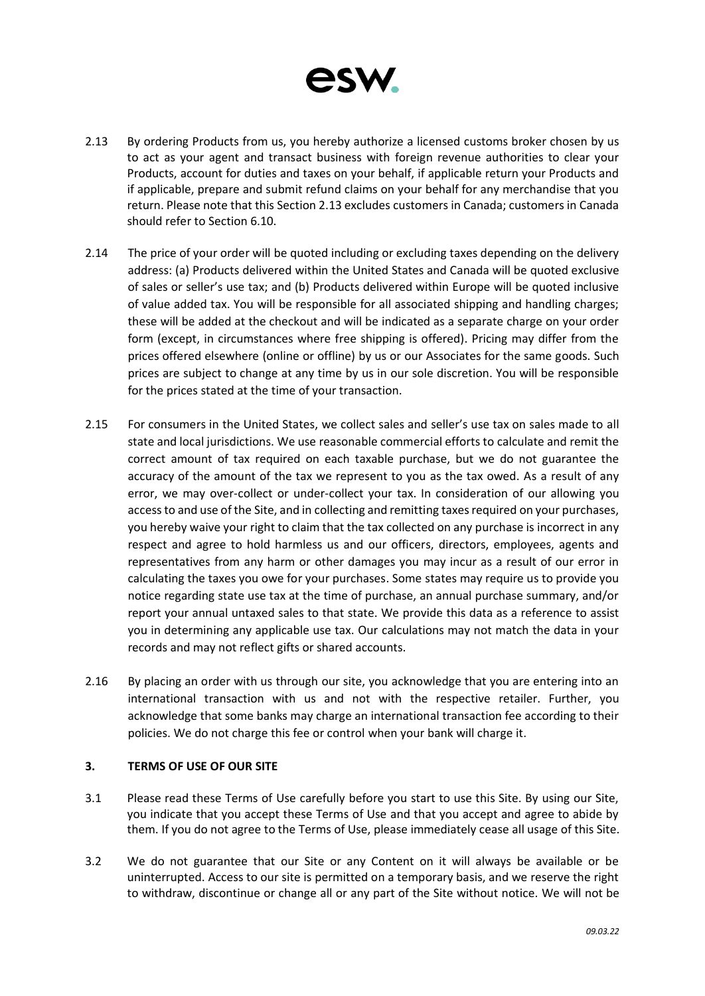

- 2.13 By ordering Products from us, you hereby authorize a licensed customs broker chosen by us to act as your agent and transact business with foreign revenue authorities to clear your Products, account for duties and taxes on your behalf, if applicable return your Products and if applicable, prepare and submit refund claims on your behalf for any merchandise that you return. Please note that this Section 2.13 excludes customers in Canada; customers in Canada should refer to Section 6.10.
- 2.14 The price of your order will be quoted including or excluding taxes depending on the delivery address: (a) Products delivered within the United States and Canada will be quoted exclusive of sales or seller's use tax; and (b) Products delivered within Europe will be quoted inclusive of value added tax. You will be responsible for all associated shipping and handling charges; these will be added at the checkout and will be indicated as a separate charge on your order form (except, in circumstances where free shipping is offered). Pricing may differ from the prices offered elsewhere (online or offline) by us or our Associates for the same goods. Such prices are subject to change at any time by us in our sole discretion. You will be responsible for the prices stated at the time of your transaction.
- 2.15 For consumers in the United States, we collect sales and seller's use tax on sales made to all state and local jurisdictions. We use reasonable commercial efforts to calculate and remit the correct amount of tax required on each taxable purchase, but we do not guarantee the accuracy of the amount of the tax we represent to you as the tax owed. As a result of any error, we may over-collect or under-collect your tax. In consideration of our allowing you access to and use of the Site, and in collecting and remitting taxes required on your purchases, you hereby waive your right to claim that the tax collected on any purchase is incorrect in any respect and agree to hold harmless us and our officers, directors, employees, agents and representatives from any harm or other damages you may incur as a result of our error in calculating the taxes you owe for your purchases. Some states may require us to provide you notice regarding state use tax at the time of purchase, an annual purchase summary, and/or report your annual untaxed sales to that state. We provide this data as a reference to assist you in determining any applicable use tax. Our calculations may not match the data in your records and may not reflect gifts or shared accounts.
- 2.16 By placing an order with us through our site, you acknowledge that you are entering into an international transaction with us and not with the respective retailer. Further, you acknowledge that some banks may charge an international transaction fee according to their policies. We do not charge this fee or control when your bank will charge it.

# **3. TERMS OF USE OF OUR SITE**

- 3.1 Please read these Terms of Use carefully before you start to use this Site. By using our Site, you indicate that you accept these Terms of Use and that you accept and agree to abide by them. If you do not agree to the Terms of Use, please immediately cease all usage of this Site.
- 3.2 We do not guarantee that our Site or any Content on it will always be available or be uninterrupted. Access to our site is permitted on a temporary basis, and we reserve the right to withdraw, discontinue or change all or any part of the Site without notice. We will not be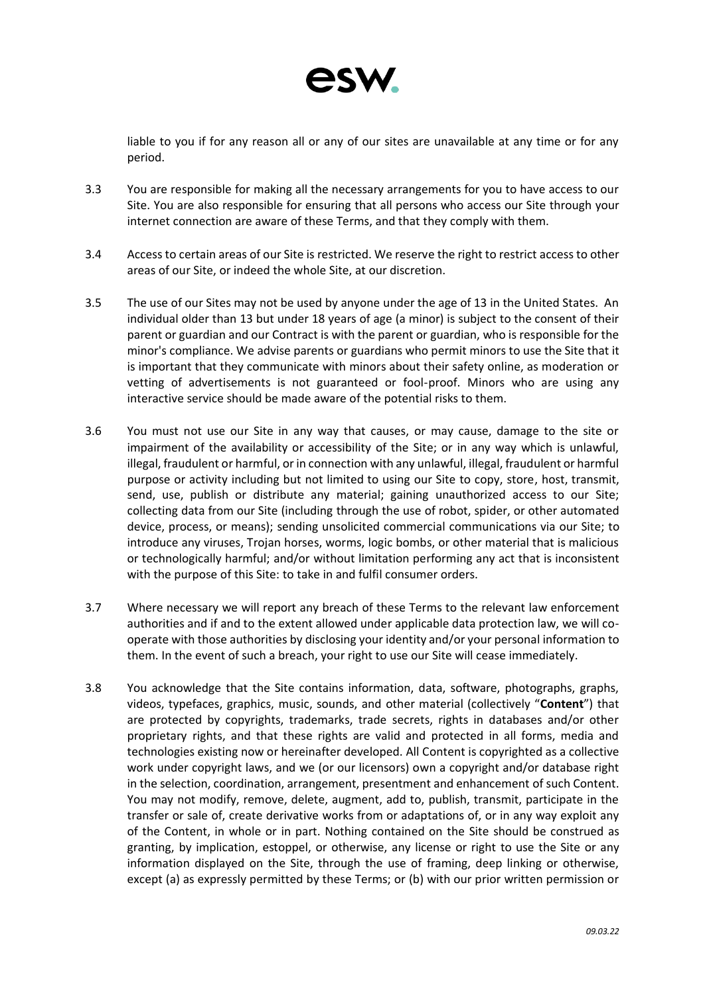

liable to you if for any reason all or any of our sites are unavailable at any time or for any period.

- 3.3 You are responsible for making all the necessary arrangements for you to have access to our Site. You are also responsible for ensuring that all persons who access our Site through your internet connection are aware of these Terms, and that they comply with them.
- 3.4 Access to certain areas of our Site is restricted. We reserve the right to restrict access to other areas of our Site, or indeed the whole Site, at our discretion.
- 3.5 The use of our Sites may not be used by anyone under the age of 13 in the United States. An individual older than 13 but under 18 years of age (a minor) is subject to the consent of their parent or guardian and our Contract is with the parent or guardian, who is responsible for the minor's compliance. We advise parents or guardians who permit minors to use the Site that it is important that they communicate with minors about their safety online, as moderation or vetting of advertisements is not guaranteed or fool-proof. Minors who are using any interactive service should be made aware of the potential risks to them.
- 3.6 You must not use our Site in any way that causes, or may cause, damage to the site or impairment of the availability or accessibility of the Site; or in any way which is unlawful, illegal, fraudulent or harmful, or in connection with any unlawful, illegal, fraudulent or harmful purpose or activity including but not limited to using our Site to copy, store, host, transmit, send, use, publish or distribute any material; gaining unauthorized access to our Site; collecting data from our Site (including through the use of robot, spider, or other automated device, process, or means); sending unsolicited commercial communications via our Site; to introduce any viruses, Trojan horses, worms, logic bombs, or other material that is malicious or technologically harmful; and/or without limitation performing any act that is inconsistent with the purpose of this Site: to take in and fulfil consumer orders.
- 3.7 Where necessary we will report any breach of these Terms to the relevant law enforcement authorities and if and to the extent allowed under applicable data protection law, we will cooperate with those authorities by disclosing your identity and/or your personal information to them. In the event of such a breach, your right to use our Site will cease immediately.
- 3.8 You acknowledge that the Site contains information, data, software, photographs, graphs, videos, typefaces, graphics, music, sounds, and other material (collectively "**Content**") that are protected by copyrights, trademarks, trade secrets, rights in databases and/or other proprietary rights, and that these rights are valid and protected in all forms, media and technologies existing now or hereinafter developed. All Content is copyrighted as a collective work under copyright laws, and we (or our licensors) own a copyright and/or database right in the selection, coordination, arrangement, presentment and enhancement of such Content. You may not modify, remove, delete, augment, add to, publish, transmit, participate in the transfer or sale of, create derivative works from or adaptations of, or in any way exploit any of the Content, in whole or in part. Nothing contained on the Site should be construed as granting, by implication, estoppel, or otherwise, any license or right to use the Site or any information displayed on the Site, through the use of framing, deep linking or otherwise, except (a) as expressly permitted by these Terms; or (b) with our prior written permission or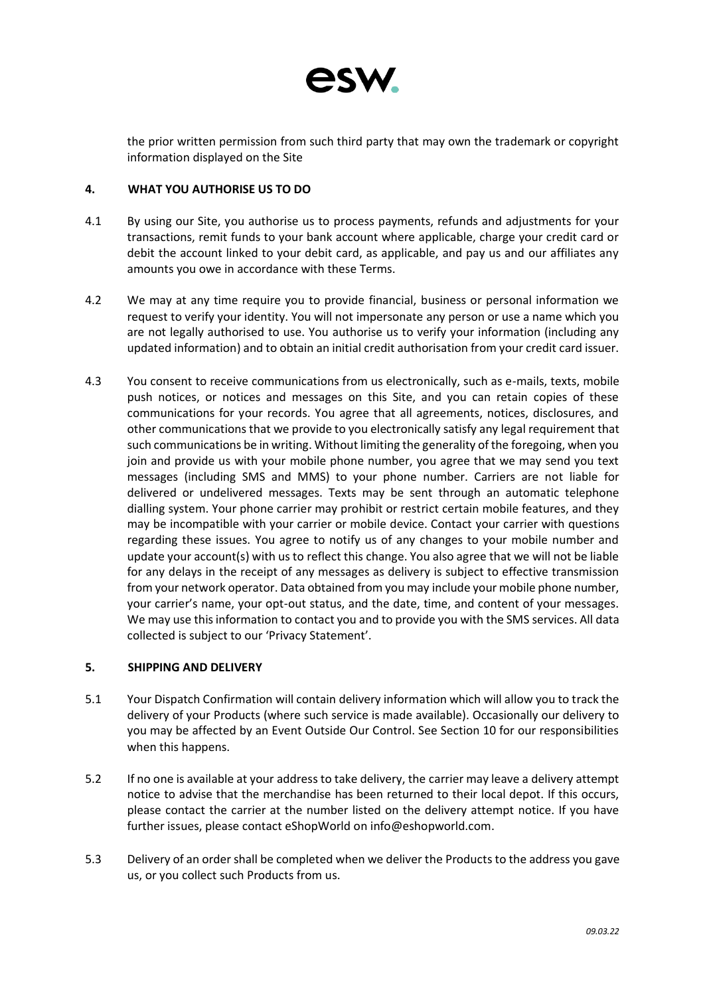

the prior written permission from such third party that may own the trademark or copyright information displayed on the Site

# **4. WHAT YOU AUTHORISE US TO DO**

- 4.1 By using our Site, you authorise us to process payments, refunds and adjustments for your transactions, remit funds to your bank account where applicable, charge your credit card or debit the account linked to your debit card, as applicable, and pay us and our affiliates any amounts you owe in accordance with these Terms.
- 4.2 We may at any time require you to provide financial, business or personal information we request to verify your identity. You will not impersonate any person or use a name which you are not legally authorised to use. You authorise us to verify your information (including any updated information) and to obtain an initial credit authorisation from your credit card issuer.
- 4.3 You consent to receive communications from us electronically, such as e-mails, texts, mobile push notices, or notices and messages on this Site, and you can retain copies of these communications for your records. You agree that all agreements, notices, disclosures, and other communications that we provide to you electronically satisfy any legal requirement that such communications be in writing. Without limiting the generality of the foregoing, when you join and provide us with your mobile phone number, you agree that we may send you text messages (including SMS and MMS) to your phone number. Carriers are not liable for delivered or undelivered messages. Texts may be sent through an automatic telephone dialling system. Your phone carrier may prohibit or restrict certain mobile features, and they may be incompatible with your carrier or mobile device. Contact your carrier with questions regarding these issues. You agree to notify us of any changes to your mobile number and update your account(s) with us to reflect this change. You also agree that we will not be liable for any delays in the receipt of any messages as delivery is subject to effective transmission from your network operator. Data obtained from you may include your mobile phone number, your carrier's name, your opt-out status, and the date, time, and content of your messages. We may use this information to contact you and to provide you with the SMS services. All data collected is subject to our 'Privacy Statement'.

# **5. SHIPPING AND DELIVERY**

- 5.1 Your Dispatch Confirmation will contain delivery information which will allow you to track the delivery of your Products (where such service is made available). Occasionally our delivery to you may be affected by an Event Outside Our Control. See Section 10 for our responsibilities when this happens.
- 5.2 If no one is available at your address to take delivery, the carrier may leave a delivery attempt notice to advise that the merchandise has been returned to their local depot. If this occurs, please contact the carrier at the number listed on the delivery attempt notice. If you have further issues, please contact eShopWorld on [info@eshopworld.com.](mailto:oncustomercare@eshopworld.com)
- 5.3 Delivery of an order shall be completed when we deliver the Products to the address you gave us, or you collect such Products from us.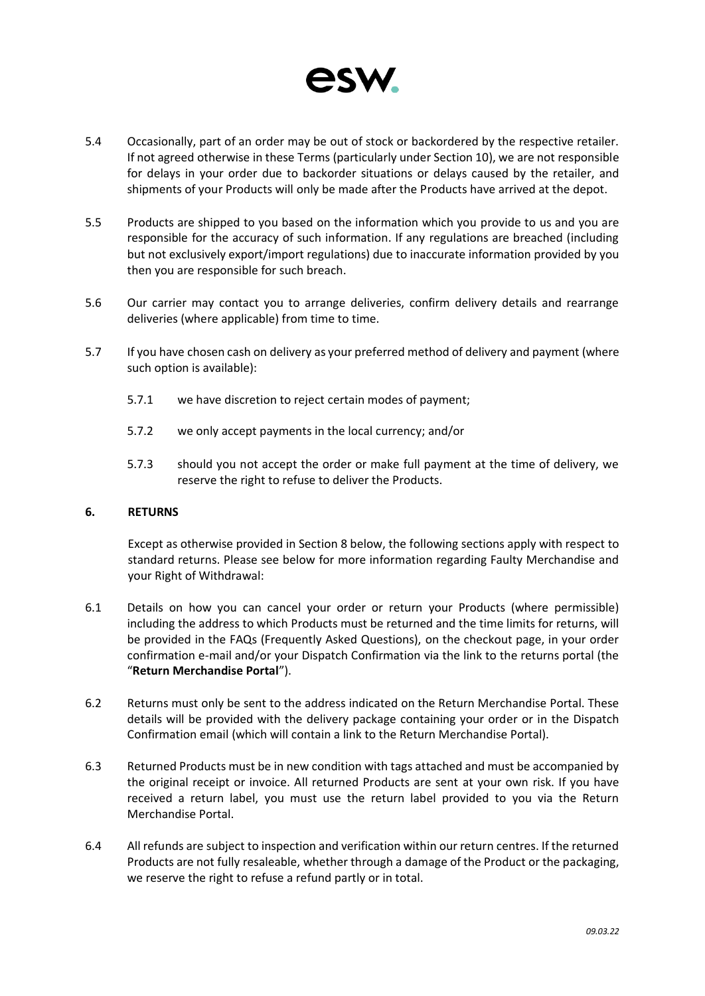

- 5.4 Occasionally, part of an order may be out of stock or backordered by the respective retailer. If not agreed otherwise in these Terms (particularly under Section 10), we are not responsible for delays in your order due to backorder situations or delays caused by the retailer, and shipments of your Products will only be made after the Products have arrived at the depot.
- 5.5 Products are shipped to you based on the information which you provide to us and you are responsible for the accuracy of such information. If any regulations are breached (including but not exclusively export/import regulations) due to inaccurate information provided by you then you are responsible for such breach.
- 5.6 Our carrier may contact you to arrange deliveries, confirm delivery details and rearrange deliveries (where applicable) from time to time.
- 5.7 If you have chosen cash on delivery as your preferred method of delivery and payment (where such option is available):
	- 5.7.1 we have discretion to reject certain modes of payment;
	- 5.7.2 we only accept payments in the local currency; and/or
	- 5.7.3 should you not accept the order or make full payment at the time of delivery, we reserve the right to refuse to deliver the Products.

### **6. RETURNS**

Except as otherwise provided in Section 8 below, the following sections apply with respect to standard returns. Please see below for more information regarding Faulty Merchandise and your Right of Withdrawal:

- 6.1 Details on how you can cancel your order or return your Products (where permissible) including the address to which Products must be returned and the time limits for returns, will be provided in the FAQs (Frequently Asked Questions), on the checkout page, in your order confirmation e-mail and/or your Dispatch Confirmation via the link to the returns portal (the "**Return Merchandise Portal**").
- 6.2 Returns must only be sent to the address indicated on the Return Merchandise Portal. These details will be provided with the delivery package containing your order or in the Dispatch Confirmation email (which will contain a link to the Return Merchandise Portal).
- 6.3 Returned Products must be in new condition with tags attached and must be accompanied by the original receipt or invoice. All returned Products are sent at your own risk. If you have received a return label, you must use the return label provided to you via the Return Merchandise Portal.
- 6.4 All refunds are subject to inspection and verification within our return centres. If the returned Products are not fully resaleable, whether through a damage of the Product or the packaging, we reserve the right to refuse a refund partly or in total.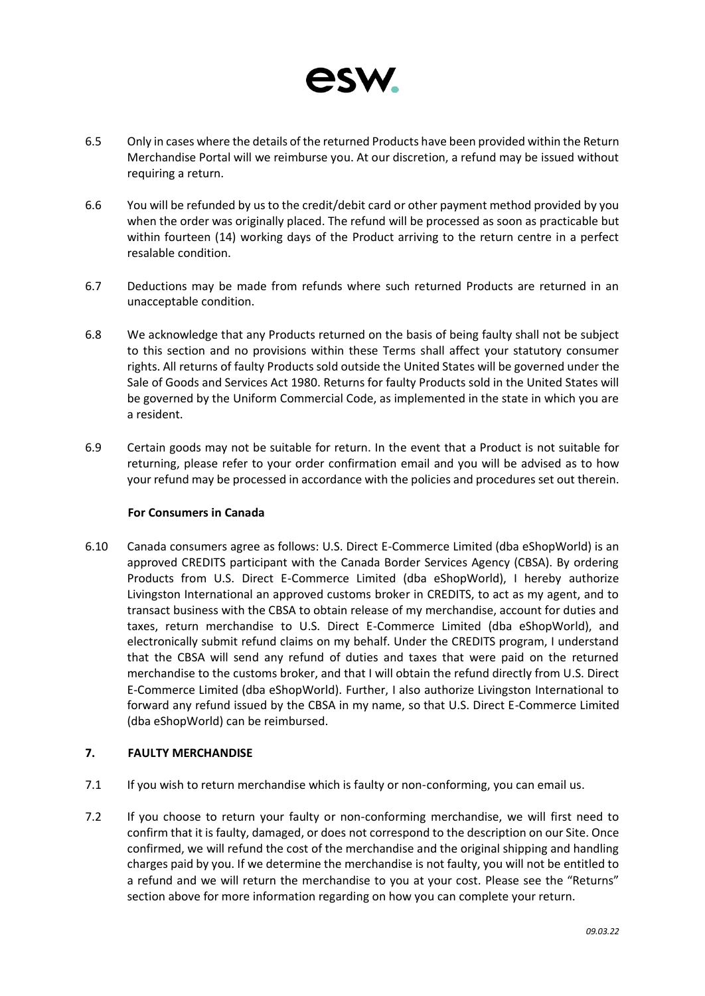

- 6.5 Only in cases where the details of the returned Products have been provided within the Return Merchandise Portal will we reimburse you. At our discretion, a refund may be issued without requiring a return.
- 6.6 You will be refunded by us to the credit/debit card or other payment method provided by you when the order was originally placed. The refund will be processed as soon as practicable but within fourteen (14) working days of the Product arriving to the return centre in a perfect resalable condition.
- 6.7 Deductions may be made from refunds where such returned Products are returned in an unacceptable condition.
- 6.8 We acknowledge that any Products returned on the basis of being faulty shall not be subject to this section and no provisions within these Terms shall affect your statutory consumer rights. All returns of faulty Products sold outside the United States will be governed under the Sale of Goods and Services Act 1980. Returns for faulty Products sold in the United States will be governed by the Uniform Commercial Code, as implemented in the state in which you are a resident.
- 6.9 Certain goods may not be suitable for return. In the event that a Product is not suitable for returning, please refer to your order confirmation email and you will be advised as to how your refund may be processed in accordance with the policies and procedures set out therein.

# **For Consumers in Canada**

6.10 Canada consumers agree as follows: U.S. Direct E-Commerce Limited (dba eShopWorld) is an approved CREDITS participant with the Canada Border Services Agency (CBSA). By ordering Products from U.S. Direct E-Commerce Limited (dba eShopWorld), I hereby authorize Livingston International an approved customs broker in CREDITS, to act as my agent, and to transact business with the CBSA to obtain release of my merchandise, account for duties and taxes, return merchandise to U.S. Direct E-Commerce Limited (dba eShopWorld), and electronically submit refund claims on my behalf. Under the CREDITS program, I understand that the CBSA will send any refund of duties and taxes that were paid on the returned merchandise to the customs broker, and that I will obtain the refund directly from U.S. Direct E-Commerce Limited (dba eShopWorld). Further, I also authorize Livingston International to forward any refund issued by the CBSA in my name, so that U.S. Direct E-Commerce Limited (dba eShopWorld) can be reimbursed.

# **7. FAULTY MERCHANDISE**

- 7.1 If you wish to return merchandise which is faulty or non-conforming, you can email us.
- 7.2 If you choose to return your faulty or non-conforming merchandise, we will first need to confirm that it is faulty, damaged, or does not correspond to the description on our Site. Once confirmed, we will refund the cost of the merchandise and the original shipping and handling charges paid by you. If we determine the merchandise is not faulty, you will not be entitled to a refund and we will return the merchandise to you at your cost. Please see the "Returns" section above for more information regarding on how you can complete your return.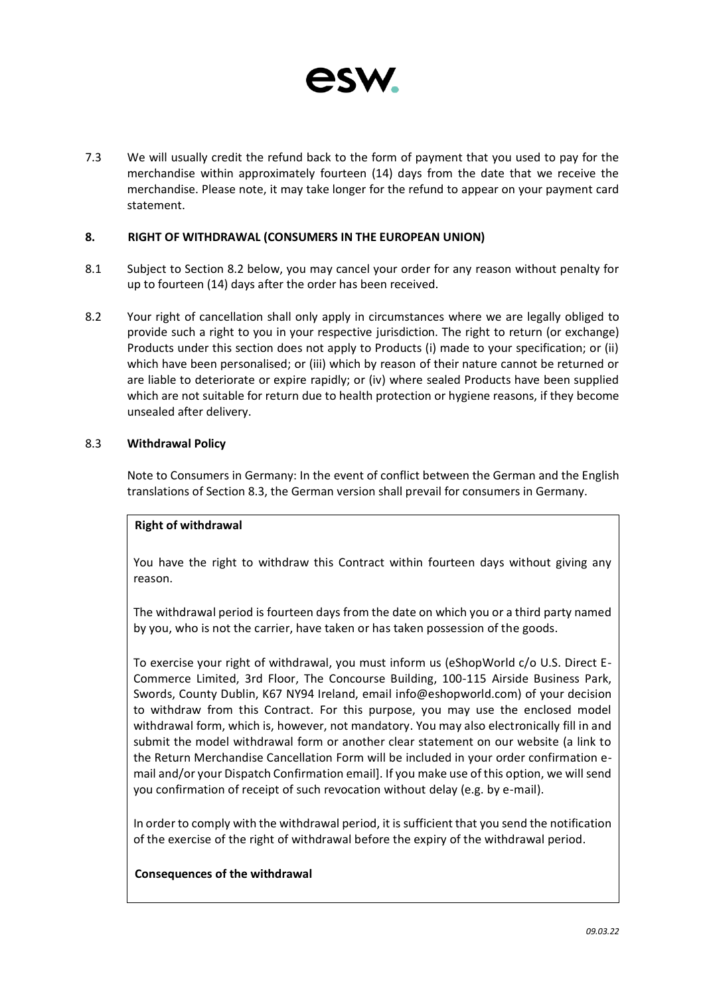

7.3 We will usually credit the refund back to the form of payment that you used to pay for the merchandise within approximately fourteen (14) days from the date that we receive the merchandise. Please note, it may take longer for the refund to appear on your payment card statement.

### **8. RIGHT OF WITHDRAWAL (CONSUMERS IN THE EUROPEAN UNION)**

- 8.1 Subject to Section 8.2 below, you may cancel your order for any reason without penalty for up to fourteen (14) days after the order has been received.
- 8.2 Your right of cancellation shall only apply in circumstances where we are legally obliged to provide such a right to you in your respective jurisdiction. The right to return (or exchange) Products under this section does not apply to Products (i) made to your specification; or (ii) which have been personalised; or (iii) which by reason of their nature cannot be returned or are liable to deteriorate or expire rapidly; or (iv) where sealed Products have been supplied which are not suitable for return due to health protection or hygiene reasons, if they become unsealed after delivery.

### 8.3 **Withdrawal Policy**

Note to Consumers in Germany: In the event of conflict between the German and the English translations of Section 8.3, the German version shall prevail for consumers in Germany.

# **Right of withdrawal**

You have the right to withdraw this Contract within fourteen days without giving any reason.

The withdrawal period is fourteen days from the date on which you or a third party named by you, who is not the carrier, have taken or has taken possession of the goods.

To exercise your right of withdrawal, you must inform us (eShopWorld c/o U.S. Direct E-Commerce Limited, 3rd Floor, The Concourse Building, 100-115 Airside Business Park, Swords, County Dublin, K67 NY94 Ireland, email [info@eshopworld.com\)](mailto:info@eshopworld.com) of your decision to withdraw from this Contract. For this purpose, you may use the enclosed model withdrawal form, which is, however, not mandatory. You may also electronically fill in and submit the model withdrawal form or another clear statement on our website (a link to the Return Merchandise Cancellation Form will be included in your order confirmation email and/or your Dispatch Confirmation email]. If you make use of this option, we will send you confirmation of receipt of such revocation without delay (e.g. by e-mail).

In order to comply with the withdrawal period, it is sufficient that you send the notification of the exercise of the right of withdrawal before the expiry of the withdrawal period.

### **Consequences of the withdrawal**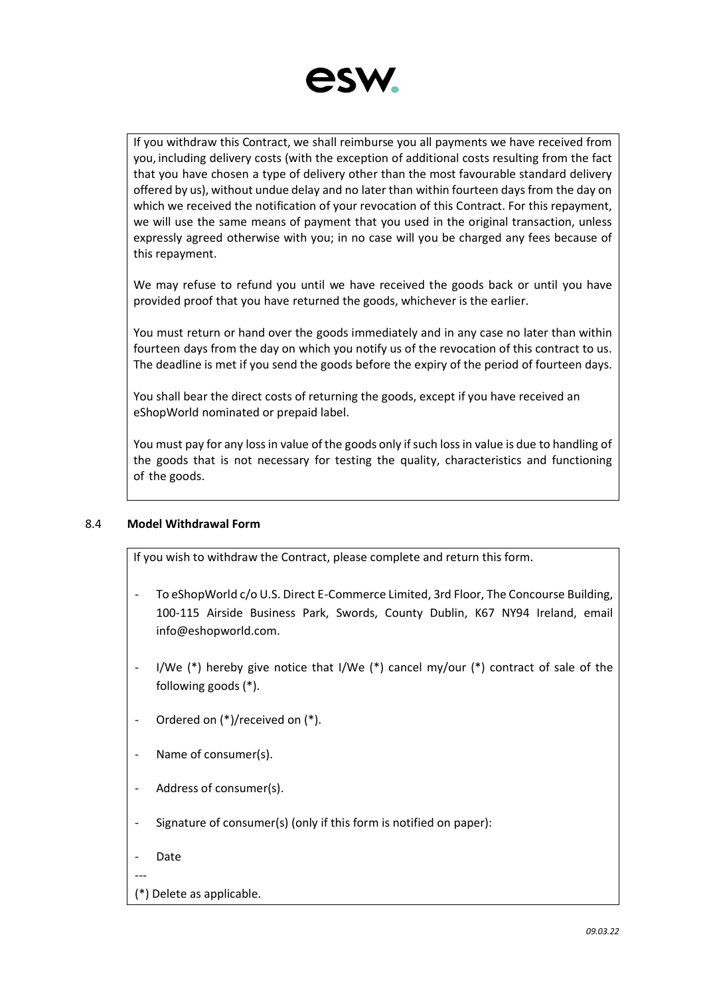

If you withdraw this Contract, we shall reimburse you all payments we have received from you, including delivery costs (with the exception of additional costs resulting from the fact that you have chosen a type of delivery other than the most favourable standard delivery offered by us), without undue delay and no later than within fourteen days from the day on which we received the notification of your revocation of this Contract. For this repayment, we will use the same means of payment that you used in the original transaction, unless expressly agreed otherwise with you; in no case will you be charged any fees because of this repayment.

We may refuse to refund you until we have received the goods back or until you have provided proof that you have returned the goods, whichever is the earlier.

You must return or hand over the goods immediately and in any case no later than within fourteen days from the day on which you notify us of the revocation of this contract to us. The deadline is met if you send the goods before the expiry of the period of fourteen days.

You shall bear the direct costs of returning the goods, except if you have received an eShopWorld nominated or prepaid label.

You must pay for any loss in value of the goods only if such loss in value is due to handling of the goods that is not necessary for testing the quality, characteristics and functioning of the goods.

# 8.4 **Model Withdrawal Form**

If you wish to withdraw the Contract, please complete and return this form.

- To eShopWorld c/o U.S. Direct E-Commerce Limited, 3rd Floor, The Concourse Building, 100-115 Airside Business Park, Swords, County Dublin, K67 NY94 Ireland, email [info@eshopworld.com.](mailto:info@eshopworld.com)
- I/We  $(*)$  hereby give notice that I/We  $(*)$  cancel my/our  $(*)$  contract of sale of the following goods (\*).
- Ordered on (\*)/received on (\*).
- Name of consumer(s).
- Address of consumer(s).
- Signature of consumer(s) (only if this form is notified on paper):
- Date

---

(\*) Delete as applicable.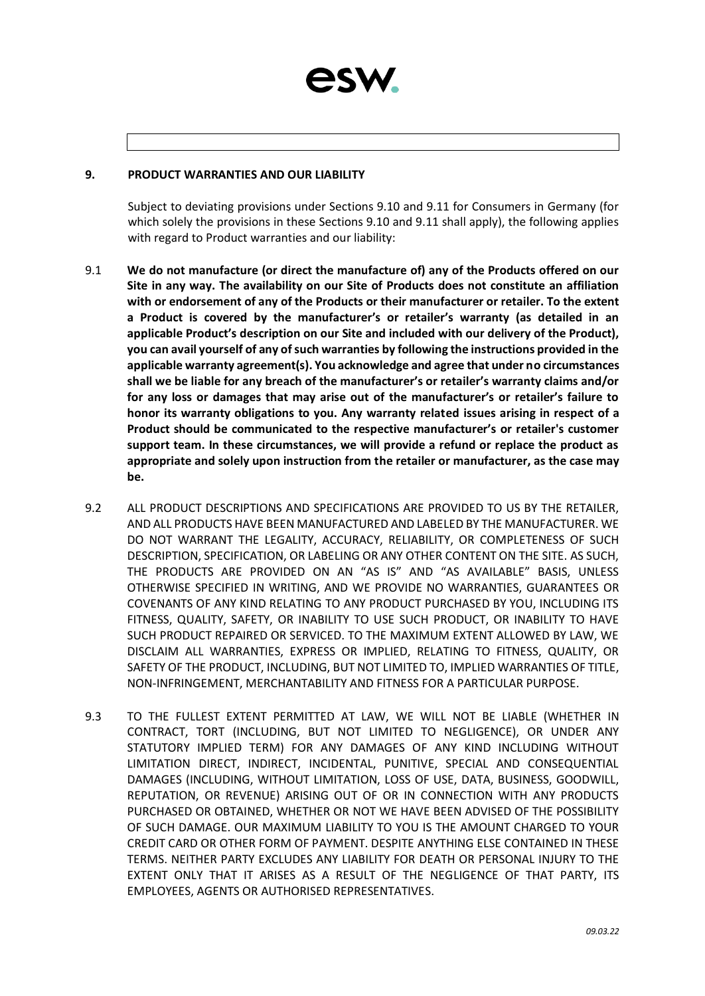

### **9. PRODUCT WARRANTIES AND OUR LIABILITY**

Subject to deviating provisions under Sections 9.10 and 9.11 for Consumers in Germany (for which solely the provisions in these Sections 9.10 and 9.11 shall apply), the following applies with regard to Product warranties and our liability:

- 9.1 **We do not manufacture (or direct the manufacture of) any of the Products offered on our Site in any way. The availability on our Site of Products does not constitute an affiliation with or endorsement of any of the Products or their manufacturer or retailer. To the extent a Product is covered by the manufacturer's or retailer's warranty (as detailed in an applicable Product's description on our Site and included with our delivery of the Product), you can avail yourself of any of such warranties by following the instructions provided in the applicable warranty agreement(s). You acknowledge and agree that under no circumstances shall we be liable for any breach of the manufacturer's or retailer's warranty claims and/or for any loss or damages that may arise out of the manufacturer's or retailer's failure to honor its warranty obligations to you. Any warranty related issues arising in respect of a Product should be communicated to the respective manufacturer's or retailer's customer support team. In these circumstances, we will provide a refund or replace the product as appropriate and solely upon instruction from the retailer or manufacturer, as the case may be.**
- 9.2 ALL PRODUCT DESCRIPTIONS AND SPECIFICATIONS ARE PROVIDED TO US BY THE RETAILER, AND ALL PRODUCTS HAVE BEEN MANUFACTURED AND LABELED BY THE MANUFACTURER. WE DO NOT WARRANT THE LEGALITY, ACCURACY, RELIABILITY, OR COMPLETENESS OF SUCH DESCRIPTION, SPECIFICATION, OR LABELING OR ANY OTHER CONTENT ON THE SITE. AS SUCH, THE PRODUCTS ARE PROVIDED ON AN "AS IS" AND "AS AVAILABLE" BASIS, UNLESS OTHERWISE SPECIFIED IN WRITING, AND WE PROVIDE NO WARRANTIES, GUARANTEES OR COVENANTS OF ANY KIND RELATING TO ANY PRODUCT PURCHASED BY YOU, INCLUDING ITS FITNESS, QUALITY, SAFETY, OR INABILITY TO USE SUCH PRODUCT, OR INABILITY TO HAVE SUCH PRODUCT REPAIRED OR SERVICED. TO THE MAXIMUM EXTENT ALLOWED BY LAW, WE DISCLAIM ALL WARRANTIES, EXPRESS OR IMPLIED, RELATING TO FITNESS, QUALITY, OR SAFETY OF THE PRODUCT, INCLUDING, BUT NOT LIMITED TO, IMPLIED WARRANTIES OF TITLE, NON-INFRINGEMENT, MERCHANTABILITY AND FITNESS FOR A PARTICULAR PURPOSE.
- 9.3 TO THE FULLEST EXTENT PERMITTED AT LAW, WE WILL NOT BE LIABLE (WHETHER IN CONTRACT, TORT (INCLUDING, BUT NOT LIMITED TO NEGLIGENCE), OR UNDER ANY STATUTORY IMPLIED TERM) FOR ANY DAMAGES OF ANY KIND INCLUDING WITHOUT LIMITATION DIRECT, INDIRECT, INCIDENTAL, PUNITIVE, SPECIAL AND CONSEQUENTIAL DAMAGES (INCLUDING, WITHOUT LIMITATION, LOSS OF USE, DATA, BUSINESS, GOODWILL, REPUTATION, OR REVENUE) ARISING OUT OF OR IN CONNECTION WITH ANY PRODUCTS PURCHASED OR OBTAINED, WHETHER OR NOT WE HAVE BEEN ADVISED OF THE POSSIBILITY OF SUCH DAMAGE. OUR MAXIMUM LIABILITY TO YOU IS THE AMOUNT CHARGED TO YOUR CREDIT CARD OR OTHER FORM OF PAYMENT. DESPITE ANYTHING ELSE CONTAINED IN THESE TERMS. NEITHER PARTY EXCLUDES ANY LIABILITY FOR DEATH OR PERSONAL INJURY TO THE EXTENT ONLY THAT IT ARISES AS A RESULT OF THE NEGLIGENCE OF THAT PARTY, ITS EMPLOYEES, AGENTS OR AUTHORISED REPRESENTATIVES.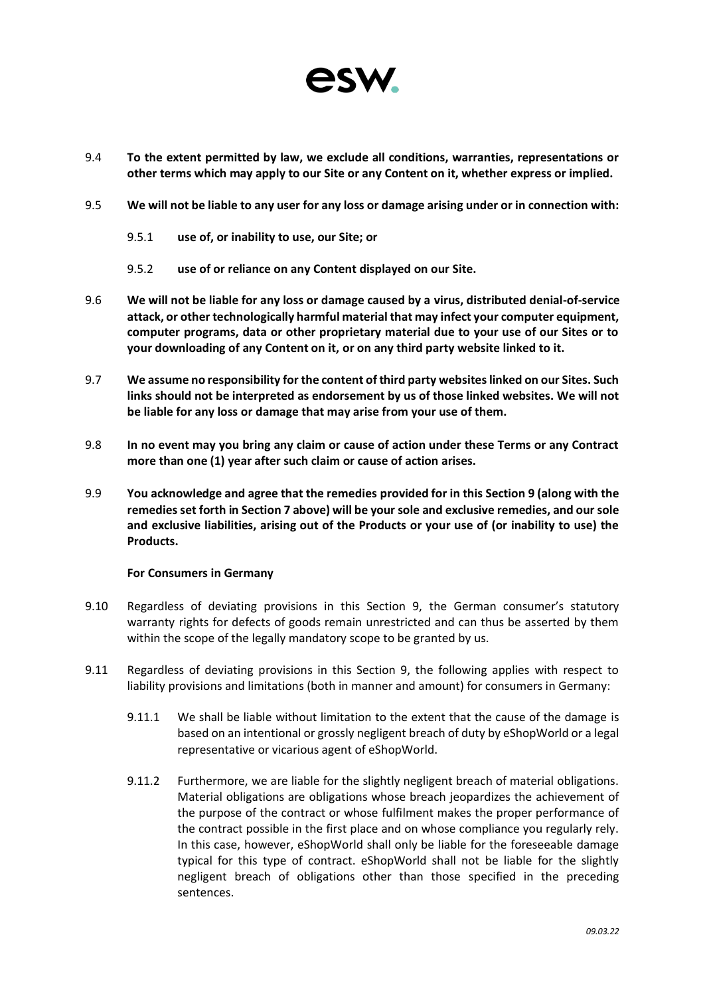

- 9.4 **To the extent permitted by law, we exclude all conditions, warranties, representations or other terms which may apply to our Site or any Content on it, whether express or implied.**
- 9.5 **We will not be liable to any user for any loss or damage arising under or in connection with:**
	- 9.5.1 **use of, or inability to use, our Site; or**
	- 9.5.2 **use of or reliance on any Content displayed on our Site.**
- 9.6 **We will not be liable for any loss or damage caused by a virus, distributed denial-of-service attack, or other technologically harmful material that may infect your computer equipment, computer programs, data or other proprietary material due to your use of our Sites or to your downloading of any Content on it, or on any third party website linked to it.**
- 9.7 **We assume no responsibility for the content of third party websites linked on our Sites. Such links should not be interpreted as endorsement by us of those linked websites. We will not be liable for any loss or damage that may arise from your use of them.**
- 9.8 **In no event may you bring any claim or cause of action under these Terms or any Contract more than one (1) year after such claim or cause of action arises.**
- 9.9 **You acknowledge and agree that the remedies provided for in this Section 9 (along with the remedies set forth in Section 7 above) will be your sole and exclusive remedies, and our sole and exclusive liabilities, arising out of the Products or your use of (or inability to use) the Products.**

### **For Consumers in Germany**

- 9.10 Regardless of deviating provisions in this Section 9, the German consumer's statutory warranty rights for defects of goods remain unrestricted and can thus be asserted by them within the scope of the legally mandatory scope to be granted by us.
- 9.11 Regardless of deviating provisions in this Section 9, the following applies with respect to liability provisions and limitations (both in manner and amount) for consumers in Germany:
	- 9.11.1 We shall be liable without limitation to the extent that the cause of the damage is based on an intentional or grossly negligent breach of duty by eShopWorld or a legal representative or vicarious agent of eShopWorld.
	- 9.11.2 Furthermore, we are liable for the slightly negligent breach of material obligations. Material obligations are obligations whose breach jeopardizes the achievement of the purpose of the contract or whose fulfilment makes the proper performance of the contract possible in the first place and on whose compliance you regularly rely. In this case, however, eShopWorld shall only be liable for the foreseeable damage typical for this type of contract. eShopWorld shall not be liable for the slightly negligent breach of obligations other than those specified in the preceding sentences.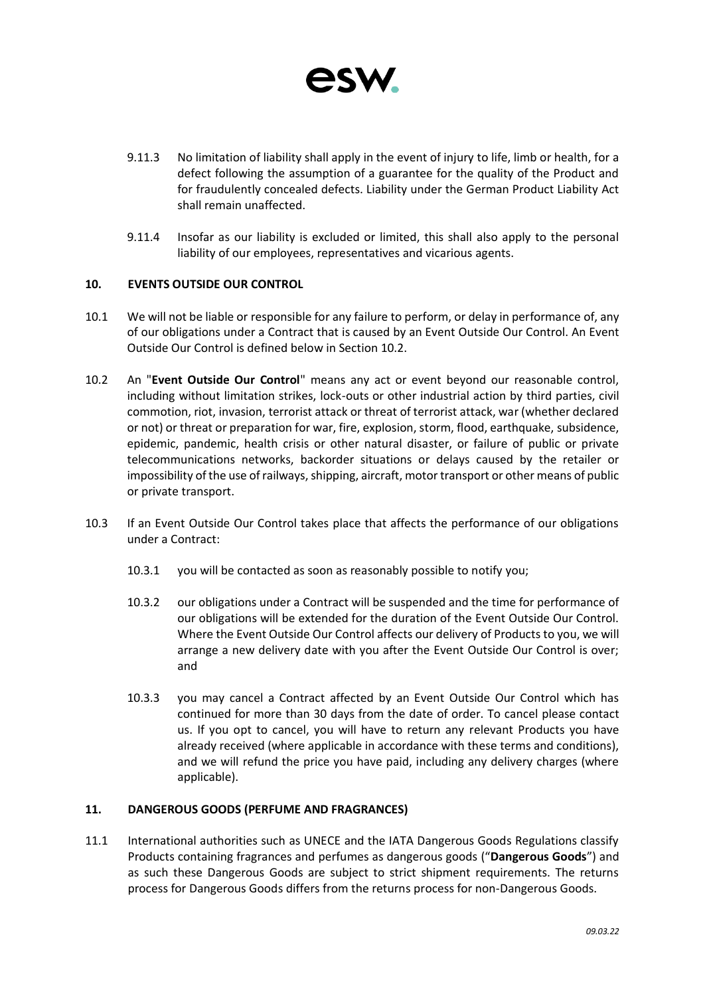

- 9.11.3 No limitation of liability shall apply in the event of injury to life, limb or health, for a defect following the assumption of a guarantee for the quality of the Product and for fraudulently concealed defects. Liability under the German Product Liability Act shall remain unaffected.
- 9.11.4 Insofar as our liability is excluded or limited, this shall also apply to the personal liability of our employees, representatives and vicarious agents.

# **10. EVENTS OUTSIDE OUR CONTROL**

- 10.1 We will not be liable or responsible for any failure to perform, or delay in performance of, any of our obligations under a Contract that is caused by an Event Outside Our Control. An Event Outside Our Control is defined below in Section 10.2.
- 10.2 An "**Event Outside Our Control**" means any act or event beyond our reasonable control, including without limitation strikes, lock-outs or other industrial action by third parties, civil commotion, riot, invasion, terrorist attack or threat of terrorist attack, war (whether declared or not) or threat or preparation for war, fire, explosion, storm, flood, earthquake, subsidence, epidemic, pandemic, health crisis or other natural disaster, or failure of public or private telecommunications networks, backorder situations or delays caused by the retailer or impossibility of the use of railways, shipping, aircraft, motor transport or other means of public or private transport.
- 10.3 If an Event Outside Our Control takes place that affects the performance of our obligations under a Contract:
	- 10.3.1 you will be contacted as soon as reasonably possible to notify you;
	- 10.3.2 our obligations under a Contract will be suspended and the time for performance of our obligations will be extended for the duration of the Event Outside Our Control. Where the Event Outside Our Control affects our delivery of Products to you, we will arrange a new delivery date with you after the Event Outside Our Control is over; and
	- 10.3.3 you may cancel a Contract affected by an Event Outside Our Control which has continued for more than 30 days from the date of order. To cancel please contact us. If you opt to cancel, you will have to return any relevant Products you have already received (where applicable in accordance with these terms and conditions), and we will refund the price you have paid, including any delivery charges (where applicable).

### **11. DANGEROUS GOODS (PERFUME AND FRAGRANCES)**

11.1 International authorities such as UNECE and the IATA Dangerous Goods Regulations classify Products containing fragrances and perfumes as dangerous goods ("**Dangerous Goods**") and as such these Dangerous Goods are subject to strict shipment requirements. The returns process for Dangerous Goods differs from the returns process for non-Dangerous Goods.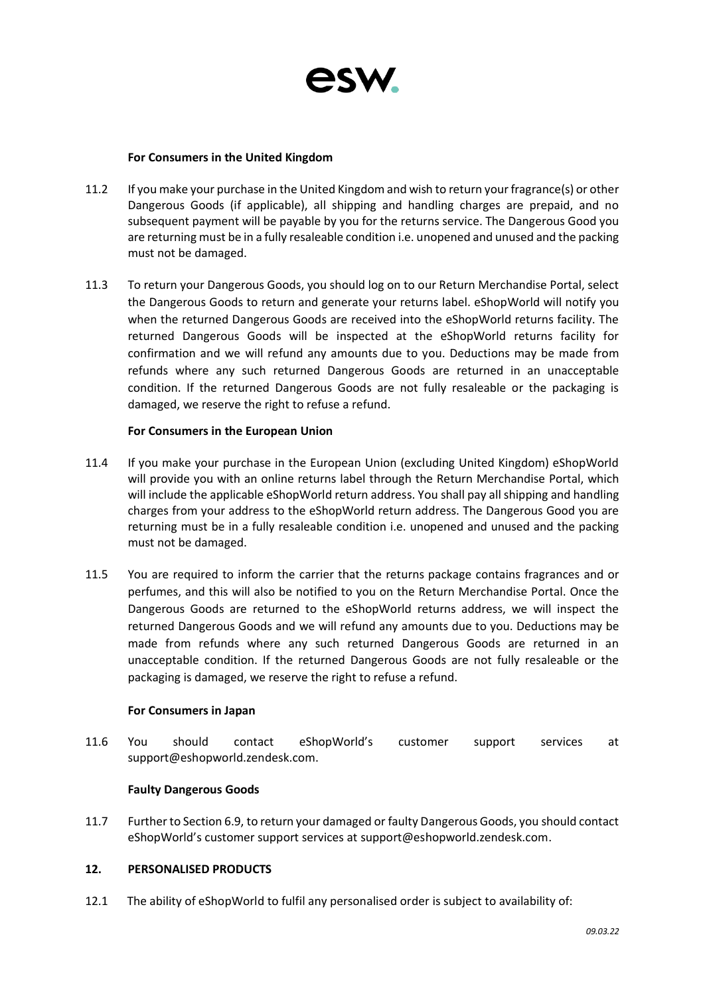

### **For Consumers in the United Kingdom**

- 11.2 If you make your purchase in the United Kingdom and wish to return your fragrance(s) or other Dangerous Goods (if applicable), all shipping and handling charges are prepaid, and no subsequent payment will be payable by you for the returns service. The Dangerous Good you are returning must be in a fully resaleable condition i.e. unopened and unused and the packing must not be damaged.
- 11.3 To return your Dangerous Goods, you should log on to our Return Merchandise Portal, select the Dangerous Goods to return and generate your returns label. eShopWorld will notify you when the returned Dangerous Goods are received into the eShopWorld returns facility. The returned Dangerous Goods will be inspected at the eShopWorld returns facility for confirmation and we will refund any amounts due to you. Deductions may be made from refunds where any such returned Dangerous Goods are returned in an unacceptable condition. If the returned Dangerous Goods are not fully resaleable or the packaging is damaged, we reserve the right to refuse a refund.

### **For Consumers in the European Union**

- 11.4 If you make your purchase in the European Union (excluding United Kingdom) eShopWorld will provide you with an online returns label through the Return Merchandise Portal, which will include the applicable eShopWorld return address. You shall pay all shipping and handling charges from your address to the eShopWorld return address. The Dangerous Good you are returning must be in a fully resaleable condition i.e. unopened and unused and the packing must not be damaged.
- 11.5 You are required to inform the carrier that the returns package contains fragrances and or perfumes, and this will also be notified to you on the Return Merchandise Portal. Once the Dangerous Goods are returned to the eShopWorld returns address, we will inspect the returned Dangerous Goods and we will refund any amounts due to you. Deductions may be made from refunds where any such returned Dangerous Goods are returned in an unacceptable condition. If the returned Dangerous Goods are not fully resaleable or the packaging is damaged, we reserve the right to refuse a refund.

# **For Consumers in Japan**

11.6 You should contact eShopWorld's customer support services at [support@eshopworld.zendesk.com.](mailto:support@eshopworld.zendesk.com)

# **Faulty Dangerous Goods**

11.7 Further to Section 6.9, to return your damaged or faulty Dangerous Goods, you should contact eShopWorld's customer support services at [support@eshopworld.zendesk.com.](mailto:support@eshopworld.zendesk.com)

# **12. PERSONALISED PRODUCTS**

12.1 The ability of eShopWorld to fulfil any personalised order is subject to availability of: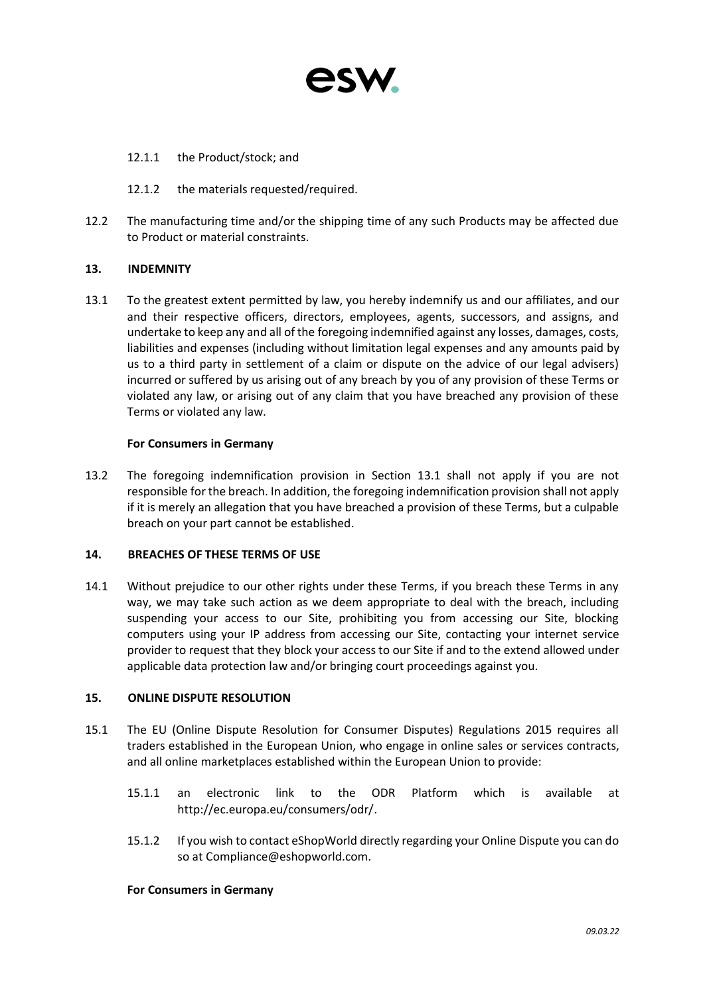

# 12.1.1 the Product/stock; and

- 12.1.2 the materials requested/required.
- 12.2 The manufacturing time and/or the shipping time of any such Products may be affected due to Product or material constraints.

# **13. INDEMNITY**

13.1 To the greatest extent permitted by law, you hereby indemnify us and our affiliates, and our and their respective officers, directors, employees, agents, successors, and assigns, and undertake to keep any and all of the foregoing indemnified against any losses, damages, costs, liabilities and expenses (including without limitation legal expenses and any amounts paid by us to a third party in settlement of a claim or dispute on the advice of our legal advisers) incurred or suffered by us arising out of any breach by you of any provision of these Terms or violated any law, or arising out of any claim that you have breached any provision of these Terms or violated any law.

### **For Consumers in Germany**

13.2 The foregoing indemnification provision in Section 13.1 shall not apply if you are not responsible for the breach. In addition, the foregoing indemnification provision shall not apply if it is merely an allegation that you have breached a provision of these Terms, but a culpable breach on your part cannot be established.

# **14. BREACHES OF THESE TERMS OF USE**

14.1 Without prejudice to our other rights under these Terms, if you breach these Terms in any way, we may take such action as we deem appropriate to deal with the breach, including suspending your access to our Site, prohibiting you from accessing our Site, blocking computers using your IP address from accessing our Site, contacting your internet service provider to request that they block your access to our Site if and to the extend allowed under applicable data protection law and/or bringing court proceedings against you.

# **15. ONLINE DISPUTE RESOLUTION**

- 15.1 The EU (Online Dispute Resolution for Consumer Disputes) Regulations 2015 requires all traders established in the European Union, who engage in online sales or services contracts, and all online marketplaces established within the European Union to provide:
	- 15.1.1 an electronic link to the ODR Platform which is available at [http://ec.europa.eu/consumers/odr/.](http://ec.europa.eu/consumers/odr/)
	- 15.1.2 If you wish to contact eShopWorld directly regarding your Online Dispute you can do so at [Compliance@eshopworld.com.](mailto:Compliance@eshopworld.com)

### **For Consumers in Germany**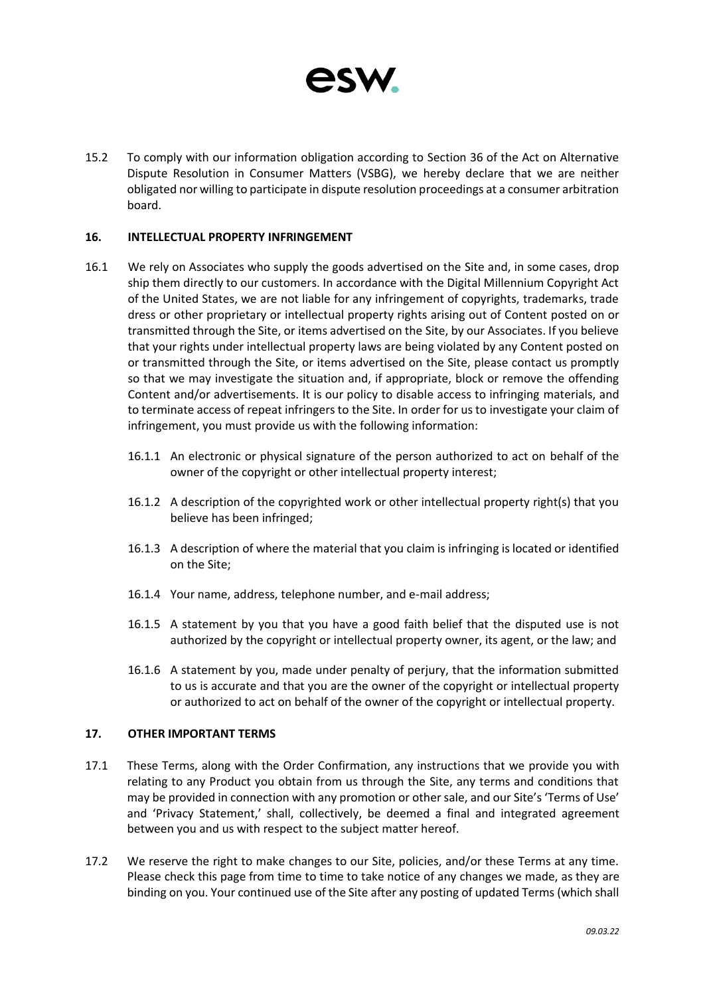

15.2 To comply with our information obligation according to Section 36 of the Act on Alternative Dispute Resolution in Consumer Matters (VSBG), we hereby declare that we are neither obligated nor willing to participate in dispute resolution proceedings at a consumer arbitration board.

### **16. INTELLECTUAL PROPERTY INFRINGEMENT**

- 16.1 We rely on Associates who supply the goods advertised on the Site and, in some cases, drop ship them directly to our customers. In accordance with the Digital Millennium Copyright Act of the United States, we are not liable for any infringement of copyrights, trademarks, trade dress or other proprietary or intellectual property rights arising out of Content posted on or transmitted through the Site, or items advertised on the Site, by our Associates. If you believe that your rights under intellectual property laws are being violated by any Content posted on or transmitted through the Site, or items advertised on the Site, please contact us promptly so that we may investigate the situation and, if appropriate, block or remove the offending Content and/or advertisements. It is our policy to disable access to infringing materials, and to terminate access of repeat infringers to the Site. In order for us to investigate your claim of infringement, you must provide us with the following information:
	- 16.1.1 An electronic or physical signature of the person authorized to act on behalf of the owner of the copyright or other intellectual property interest;
	- 16.1.2 A description of the copyrighted work or other intellectual property right(s) that you believe has been infringed;
	- 16.1.3 A description of where the material that you claim is infringing is located or identified on the Site;
	- 16.1.4 Your name, address, telephone number, and e-mail address;
	- 16.1.5 A statement by you that you have a good faith belief that the disputed use is not authorized by the copyright or intellectual property owner, its agent, or the law; and
	- 16.1.6 A statement by you, made under penalty of perjury, that the information submitted to us is accurate and that you are the owner of the copyright or intellectual property or authorized to act on behalf of the owner of the copyright or intellectual property.

### **17. OTHER IMPORTANT TERMS**

- 17.1 These Terms, along with the Order Confirmation, any instructions that we provide you with relating to any Product you obtain from us through the Site, any terms and conditions that may be provided in connection with any promotion or other sale, and our Site's 'Terms of Use' and 'Privacy Statement,' shall, collectively, be deemed a final and integrated agreement between you and us with respect to the subject matter hereof.
- 17.2 We reserve the right to make changes to our Site, policies, and/or these Terms at any time. Please check this page from time to time to take notice of any changes we made, as they are binding on you. Your continued use of the Site after any posting of updated Terms (which shall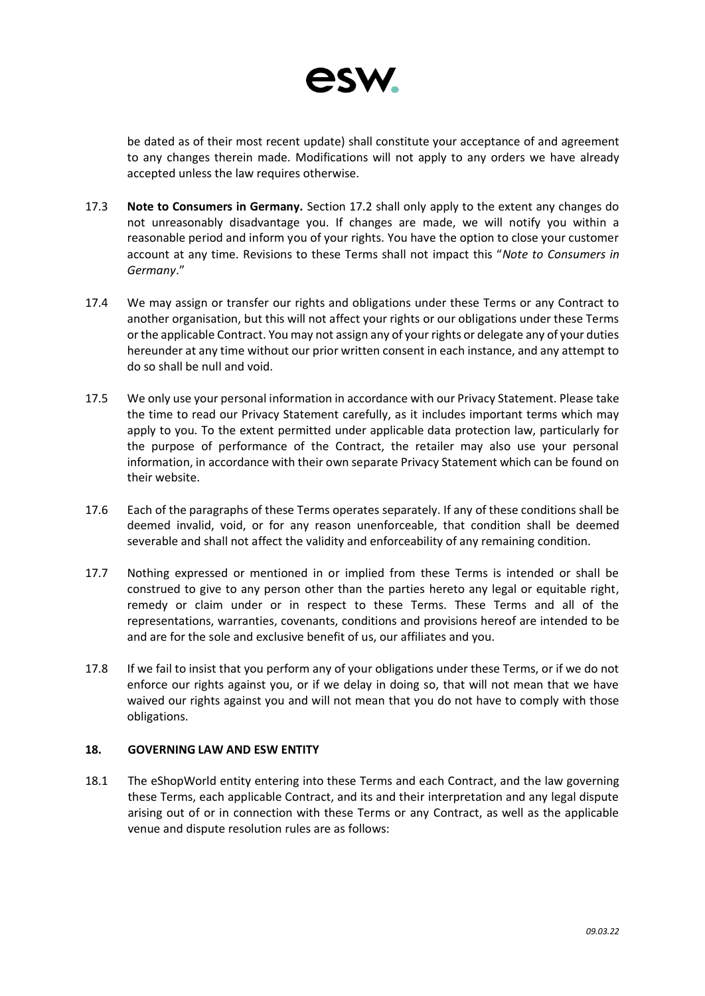

be dated as of their most recent update) shall constitute your acceptance of and agreement to any changes therein made. Modifications will not apply to any orders we have already accepted unless the law requires otherwise.

- 17.3 **Note to Consumers in Germany.** Section 17.2 shall only apply to the extent any changes do not unreasonably disadvantage you. If changes are made, we will notify you within a reasonable period and inform you of your rights. You have the option to close your customer account at any time. Revisions to these Terms shall not impact this "*Note to Consumers in Germany*."
- 17.4 We may assign or transfer our rights and obligations under these Terms or any Contract to another organisation, but this will not affect your rights or our obligations under these Terms or the applicable Contract. You may not assign any of your rights or delegate any of your duties hereunder at any time without our prior written consent in each instance, and any attempt to do so shall be null and void.
- 17.5 We only use your personal information in accordance with our Privacy Statement. Please take the time to read our Privacy Statement carefully, as it includes important terms which may apply to you. To the extent permitted under applicable data protection law, particularly for the purpose of performance of the Contract, the retailer may also use your personal information, in accordance with their own separate Privacy Statement which can be found on their website.
- 17.6 Each of the paragraphs of these Terms operates separately. If any of these conditions shall be deemed invalid, void, or for any reason unenforceable, that condition shall be deemed severable and shall not affect the validity and enforceability of any remaining condition.
- 17.7 Nothing expressed or mentioned in or implied from these Terms is intended or shall be construed to give to any person other than the parties hereto any legal or equitable right, remedy or claim under or in respect to these Terms. These Terms and all of the representations, warranties, covenants, conditions and provisions hereof are intended to be and are for the sole and exclusive benefit of us, our affiliates and you.
- 17.8 If we fail to insist that you perform any of your obligations under these Terms, or if we do not enforce our rights against you, or if we delay in doing so, that will not mean that we have waived our rights against you and will not mean that you do not have to comply with those obligations.

### **18. GOVERNING LAW AND ESW ENTITY**

18.1 The eShopWorld entity entering into these Terms and each Contract, and the law governing these Terms, each applicable Contract, and its and their interpretation and any legal dispute arising out of or in connection with these Terms or any Contract, as well as the applicable venue and dispute resolution rules are as follows: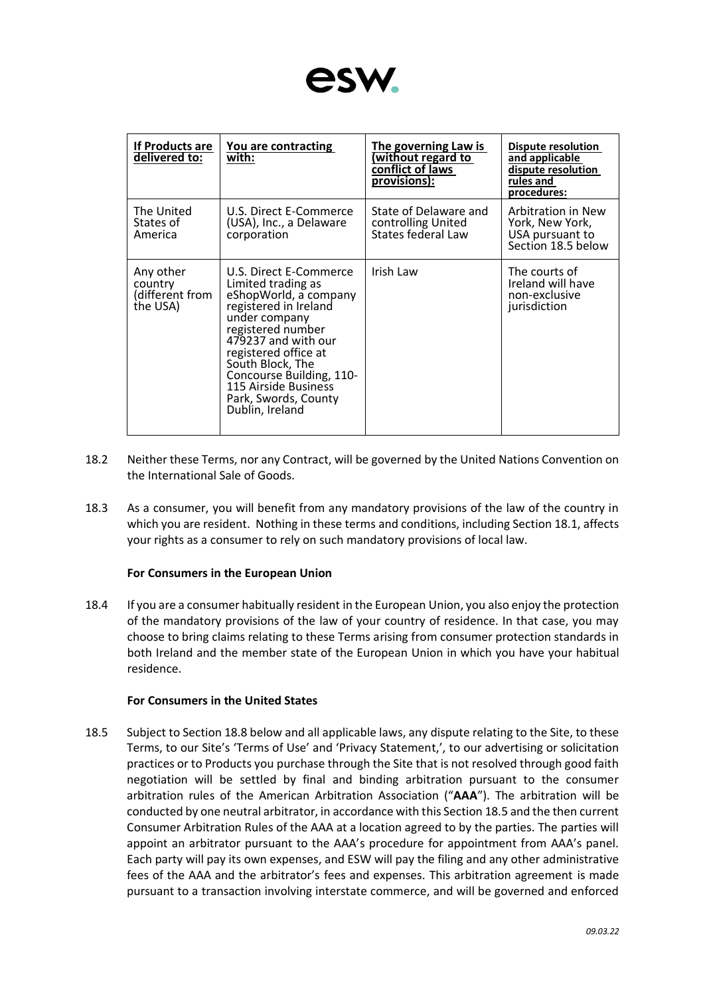

| <b>If Products are</b><br>delivered to:             | You are contracting<br>with:                                                                                                                                                                                                                                                                           | The governing Law is<br>(without regard to<br>conflict of laws<br>provisions): | Dispute resolution<br>and applicable<br>dispute resolution<br>rules and<br>procedures: |
|-----------------------------------------------------|--------------------------------------------------------------------------------------------------------------------------------------------------------------------------------------------------------------------------------------------------------------------------------------------------------|--------------------------------------------------------------------------------|----------------------------------------------------------------------------------------|
| The United<br>States of<br>America                  | U.S. Direct E-Commerce<br>(USA), Inc., a Delaware<br>corporation                                                                                                                                                                                                                                       | State of Delaware and<br>controlling United<br>States federal Law              | Arbitration in New<br>York, New York,<br>USA pursuant to<br>Section 18.5 below         |
| Any other<br>country<br>(different from<br>the USA) | U.S. Direct E-Commerce<br>Limited trading as<br>eShopWorld, a company<br>registered in Ireland<br>under company<br>registered number<br>479237 and with our<br>registered office at<br>South Block, The<br>Concourse Building, 110-<br>115 Airside Business<br>Park, Swords, County<br>Dublin, Ireland | Irish Law                                                                      | The courts of<br>Ireland will have<br>non-exclusive<br>jurisdiction                    |

- 18.2 Neither these Terms, nor any Contract, will be governed by the United Nations Convention on the International Sale of Goods.
- 18.3 As a consumer, you will benefit from any mandatory provisions of the law of the country in which you are resident. Nothing in these terms and conditions, including Section 18.1, affects your rights as a consumer to rely on such mandatory provisions of local law.

# **For Consumers in the European Union**

18.4 If you are a consumer habitually resident in the European Union, you also enjoy the protection of the mandatory provisions of the law of your country of residence. In that case, you may choose to bring claims relating to these Terms arising from consumer protection standards in both Ireland and the member state of the European Union in which you have your habitual residence.

# **For Consumers in the United States**

18.5 Subject to Section 18.8 below and all applicable laws, any dispute relating to the Site, to these Terms, to our Site's 'Terms of Use' and 'Privacy Statement,', to our advertising or solicitation practices or to Products you purchase through the Site that is not resolved through good faith negotiation will be settled by final and binding arbitration pursuant to the consumer arbitration rules of the American Arbitration Association ("**AAA**"). The arbitration will be conducted by one neutral arbitrator, in accordance with this Section 18.5 and the then current Consumer Arbitration Rules of the AAA at a location agreed to by the parties. The parties will appoint an arbitrator pursuant to the AAA's procedure for appointment from AAA's panel. Each party will pay its own expenses, and ESW will pay the filing and any other administrative fees of the AAA and the arbitrator's fees and expenses. This arbitration agreement is made pursuant to a transaction involving interstate commerce, and will be governed and enforced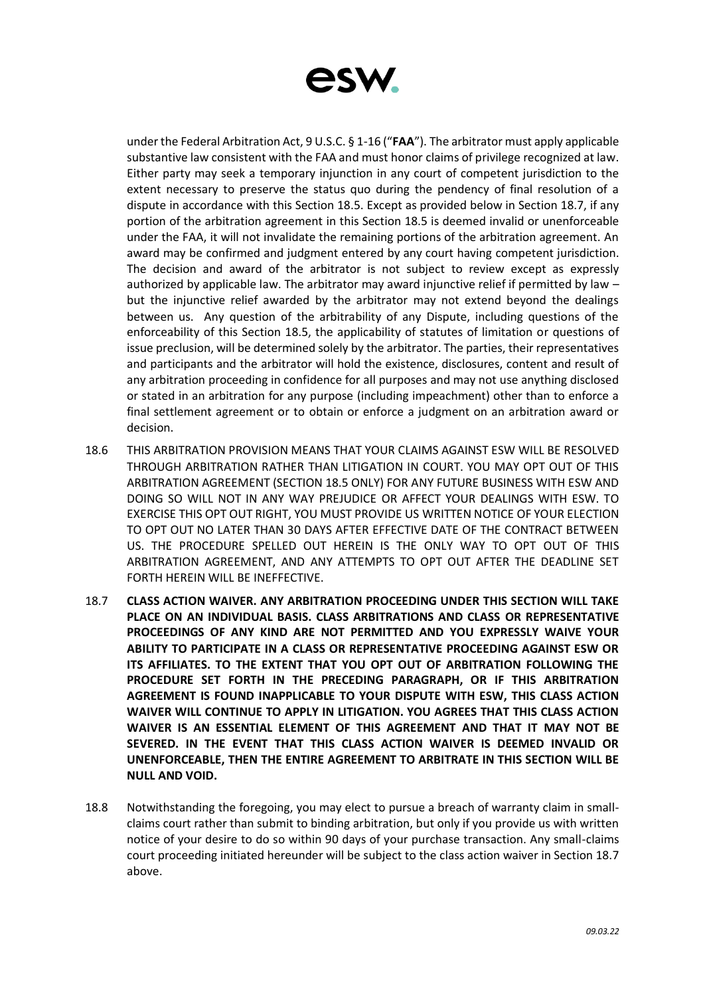

under the Federal Arbitration Act, 9 U.S.C. § 1-16 ("**FAA**"). The arbitrator must apply applicable substantive law consistent with the FAA and must honor claims of privilege recognized at law. Either party may seek a temporary injunction in any court of competent jurisdiction to the extent necessary to preserve the status quo during the pendency of final resolution of a dispute in accordance with this Section 18.5. Except as provided below in Section 18.7, if any portion of the arbitration agreement in this Section 18.5 is deemed invalid or unenforceable under the FAA, it will not invalidate the remaining portions of the arbitration agreement. An award may be confirmed and judgment entered by any court having competent jurisdiction. The decision and award of the arbitrator is not subject to review except as expressly authorized by applicable law. The arbitrator may award injunctive relief if permitted by law – but the injunctive relief awarded by the arbitrator may not extend beyond the dealings between us. Any question of the arbitrability of any Dispute, including questions of the enforceability of this Section 18.5, the applicability of statutes of limitation or questions of issue preclusion, will be determined solely by the arbitrator. The parties, their representatives and participants and the arbitrator will hold the existence, disclosures, content and result of any arbitration proceeding in confidence for all purposes and may not use anything disclosed or stated in an arbitration for any purpose (including impeachment) other than to enforce a final settlement agreement or to obtain or enforce a judgment on an arbitration award or decision.

- 18.6 THIS ARBITRATION PROVISION MEANS THAT YOUR CLAIMS AGAINST ESW WILL BE RESOLVED THROUGH ARBITRATION RATHER THAN LITIGATION IN COURT. YOU MAY OPT OUT OF THIS ARBITRATION AGREEMENT (SECTION 18.5 ONLY) FOR ANY FUTURE BUSINESS WITH ESW AND DOING SO WILL NOT IN ANY WAY PREJUDICE OR AFFECT YOUR DEALINGS WITH ESW. TO EXERCISE THIS OPT OUT RIGHT, YOU MUST PROVIDE US WRITTEN NOTICE OF YOUR ELECTION TO OPT OUT NO LATER THAN 30 DAYS AFTER EFFECTIVE DATE OF THE CONTRACT BETWEEN US. THE PROCEDURE SPELLED OUT HEREIN IS THE ONLY WAY TO OPT OUT OF THIS ARBITRATION AGREEMENT, AND ANY ATTEMPTS TO OPT OUT AFTER THE DEADLINE SET FORTH HEREIN WILL BE INEFFECTIVE.
- 18.7 **CLASS ACTION WAIVER. ANY ARBITRATION PROCEEDING UNDER THIS SECTION WILL TAKE PLACE ON AN INDIVIDUAL BASIS. CLASS ARBITRATIONS AND CLASS OR REPRESENTATIVE PROCEEDINGS OF ANY KIND ARE NOT PERMITTED AND YOU EXPRESSLY WAIVE YOUR ABILITY TO PARTICIPATE IN A CLASS OR REPRESENTATIVE PROCEEDING AGAINST ESW OR ITS AFFILIATES. TO THE EXTENT THAT YOU OPT OUT OF ARBITRATION FOLLOWING THE PROCEDURE SET FORTH IN THE PRECEDING PARAGRAPH, OR IF THIS ARBITRATION AGREEMENT IS FOUND INAPPLICABLE TO YOUR DISPUTE WITH ESW, THIS CLASS ACTION WAIVER WILL CONTINUE TO APPLY IN LITIGATION. YOU AGREES THAT THIS CLASS ACTION WAIVER IS AN ESSENTIAL ELEMENT OF THIS AGREEMENT AND THAT IT MAY NOT BE SEVERED. IN THE EVENT THAT THIS CLASS ACTION WAIVER IS DEEMED INVALID OR UNENFORCEABLE, THEN THE ENTIRE AGREEMENT TO ARBITRATE IN THIS SECTION WILL BE NULL AND VOID.**
- 18.8 Notwithstanding the foregoing, you may elect to pursue a breach of warranty claim in smallclaims court rather than submit to binding arbitration, but only if you provide us with written notice of your desire to do so within 90 days of your purchase transaction. Any small-claims court proceeding initiated hereunder will be subject to the class action waiver in Section 18.7 above.